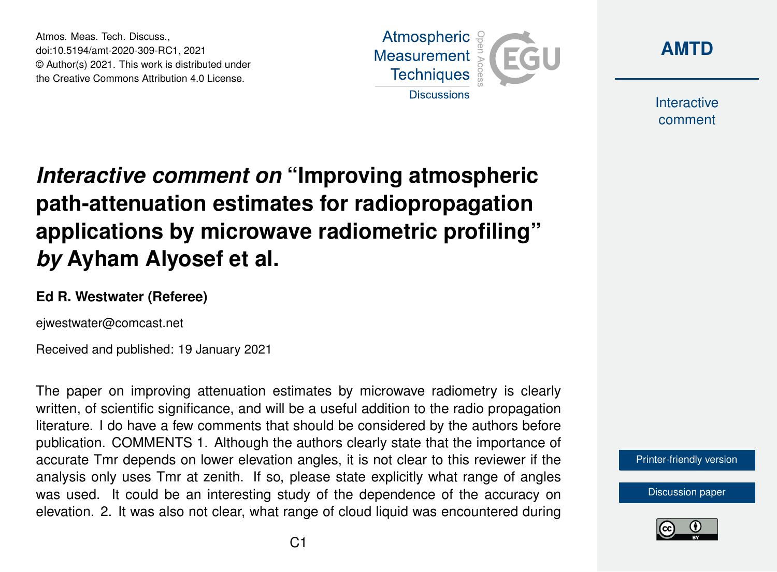Atmos. Meas. Tech. Discuss., doi:10.5194/amt-2020-309-RC1, 2021 © Author(s) 2021. This work is distributed under the Creative Commons Attribution 4.0 License.





**Interactive** comment

## *Interactive comment on* **"Improving atmospheric path-attenuation estimates for radiopropagation applications by microwave radiometric profiling"** *by* **Ayham Alyosef et al.**

## **Ed R. Westwater (Referee)**

ejwestwater@comcast.net

Received and published: 19 January 2021

The paper on improving attenuation estimates by microwave radiometry is clearly written, of scientific significance, and will be a useful addition to the radio propagation literature. I do have a few comments that should be considered by the authors before publication. COMMENTS 1. Although the authors clearly state that the importance of accurate Tmr depends on lower elevation angles, it is not clear to this reviewer if the analysis only uses Tmr at zenith. If so, please state explicitly what range of angles was used. It could be an interesting study of the dependence of the accuracy on elevation. 2. It was also not clear, what range of cloud liquid was encountered during



[Discussion paper](https://amt.copernicus.org/preprints/amt-2020-309)